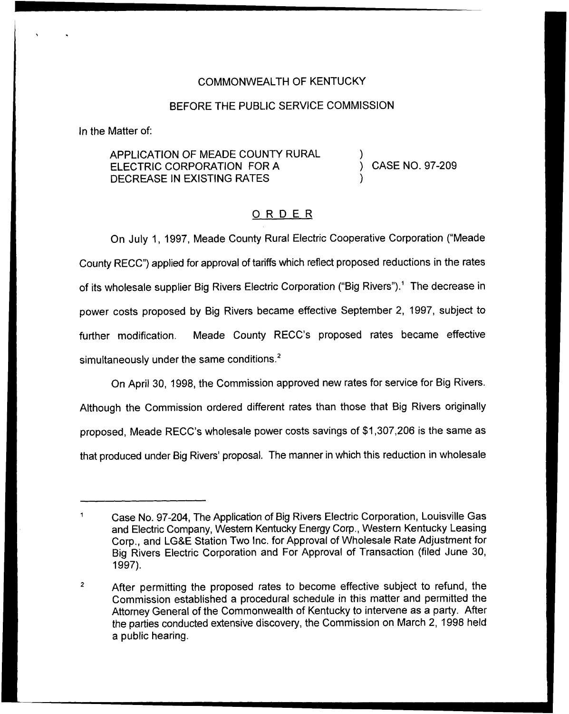## COMMONWEALTH OF KENTUCKY

#### BEFORE THE PUBLIC SERVICE COMMISSION

In the Matter of:

APPLICATION OF MEADE COUNTY RURAL ELECTRIC CORPORATION FOR A DECREASE IN EXISTING RATES

) CASE NO. 97-209

)

)

### ORDER

On July 1, 1997, Meade County Rural Electric Cooperative Corporation ("Meade County RECC") applied for approval of tariffs which reflect proposed reductions in the rates of its wholesale supplier Big Rivers Electric Corporation ("Big Rivers").<sup>1</sup> The decrease in power costs proposed by Big Rivers became effective September 2, 1997, subject to further modification. Meade County RECC's proposed rates became effective simultaneously under the same conditions.<sup>2</sup>

April 30, 1998, the Commission approved new rates for service for Big Rivers. Although the Commission ordered different rates than those that Big Rivers originally proposed, Meade RECC's wholesale power costs savings of \$1,307,206 is the same as that produced under Big Rivers' proposal. The manner in which this reduction in wholesale

Case No. 97-204, The Application of Big Rivers Electric Corporation, Louisville Gas and Electric Company, Western Kentucky Energy Corp., Western Kentucky Leasing Corp., and LG&E Station Two Inc. for Approval of Wholesale Rate Adjustment for Big Rivers Electric Corporation and For Approval of Transaction (filed June 30, 1997).

 $\pmb{2}$ After permitting the proposed rates to become effective subject to refund, the Commission established a procedural schedule in this matter and permitted the Attorney General of the Commonwealth of Kentucky to intervene as a party. After the parties conducted extensive discovery, the Commission on March 2, 1998 held a public hearing.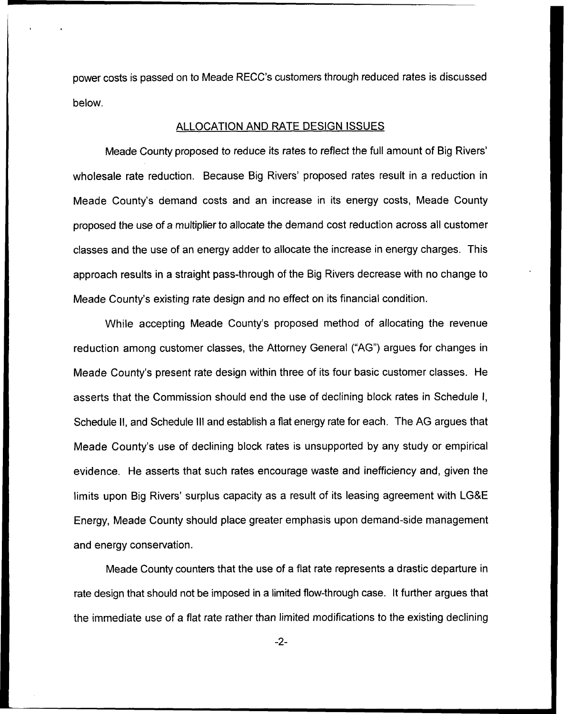power costs is passed on to Meade RECC's customers through reduced rates is discussed below.

#### ALLOCATION AND RATE DESIGN ISSUES

Meade County proposed to reduce its rates to reflect the full amount of Big wholesale rate reduction. Because Big Rivers' proposed rates result in a reduction in Meade County's demand costs and an increase in its energy costs, Meade County proposed the use of a multiplier to allocate the demand cost reduction across all customer classes and the use of an energy adder to allocate the increase in energy charges. This approach results in a straight pass-through of the Big Rivers decrease with no change to Meade County's existing rate design and no effect on its financial condition.

While accepting Meade County's proposed method of allocating the revenue reduction among customer classes, the Attorney General ("AG") argues for changes in Meade County's present rate design within three of its four basic customer classes. He asserts that the Commission should end the use of declining block rates in Schedule I, Schedule II, and Schedule III and establish a flat energy rate for each. The AG argues that Meade County's use of declining block rates is unsupported by any study or empirical evidence. He asserts that such rates encourage waste and inefficiency and, given the limits upon Big Rivers' surplus capacity as a result of its leasing agreement with LG&E Energy, Meade County should place greater emphasis upon demand-side management and energy conservation.

Meade County counters that the use of a flat rate represents a drastic departure in rate design that should not be imposed in a limited flow-through case. It further argues that the immediate use of a flat rate rather than limited modifications to the existing declining

 $-2-$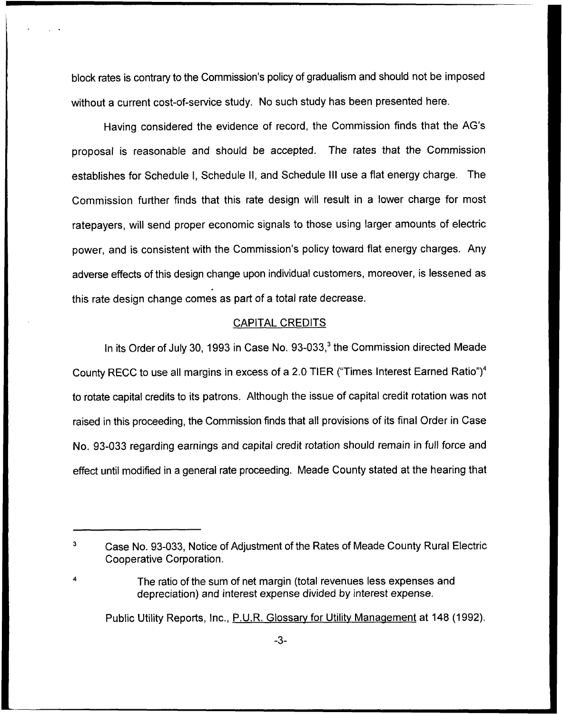block rates is contrary to the Commission's policy of gradualism and should not be imposed without a current cost-of-service study. No such study has been presented here.

Having considered the evidence of record, the Commission finds that the AG's proposal is reasonable and should be accepted. The rates that the Commission establishes for Schedule I, Schedule II, and Schedule III use a flat energy charge. The Commission further finds that this rate design will result in a lower charge for most ratepayers, will send proper economic signals to those using larger amounts of electric power, and is consistent with the Commission's policy toward flat energy charges. Any adverse effects of this design change upon individual customers, moreover, is lessened as this rate design change comes as part of a total rate decrease.

#### CAPITAL CREDITS

In its Order of July 30, 1993 in Case No. 93-033,<sup>3</sup> the Commission directed Meade County RECC to use all margins in excess of a 2.0 TIER ("Times Interest Earned Ratio")4 to rotate capital credits to its patrons. Although the issue of capital credit rotation was not raised in this proceeding, the Commission finds that all provisions of its final Order in Case No. 93-033 regarding earnings and capital credit rotation should remain in full force and effect until modified in a general rate proceeding. Meade County stated at the hearing that

<sup>3</sup> Case No. 93-033, Notice of Adjustment of the Rates of Meade County Rural Electric Cooperative Corporation.

The ratio of the sum of net margin (total revenues less expenses and depreciation) and interest expense divided by interest expense.

Public Utility Reports, Inc., P.U.R. Glossary for Utility Management at 148 (1992).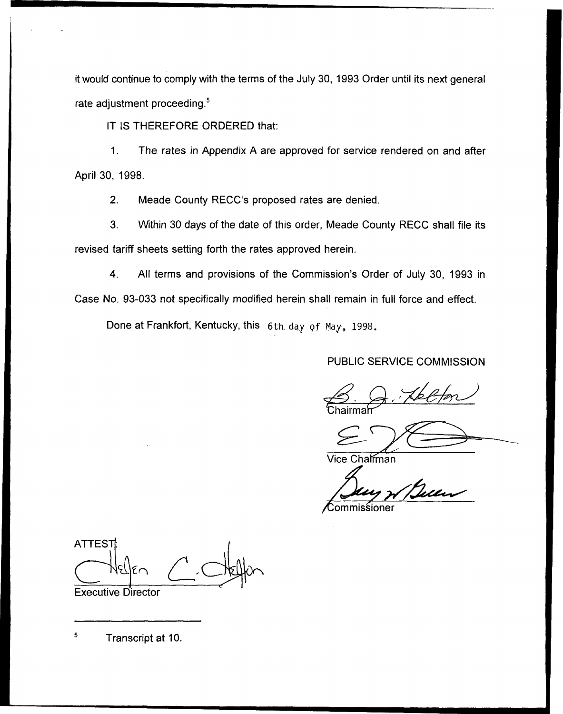it would continue to comply with the terms of the July 30, 1993 Order until its next general rate adjustment proceeding.<sup>5</sup>

IT IS THEREFORE ORDERED that:

1. The rates in Appendix A are approved for service rendered on and after April 30, 1998.

2. Meade County RECC's proposed rates are denied.

3. Within 30 days of the date of this order, Meade County RECC shall file its revised tariff sheets setting forth the rates approved herein.

4. All terms and provisions of the Commission's Order of July 30, 1993 in Case No. 93-033 not specifically modified herein shall remain in full force and effect.

Done at Frankfort, Kentucky, this 6th day qf May, 1998.

PUBLIC SERVICE COMMISSION

Chairma

Vice Chafrman

commissioner

**ATTEST** 

Executive Director

 $\overline{\mathbf{5}}$ Transcript at 10.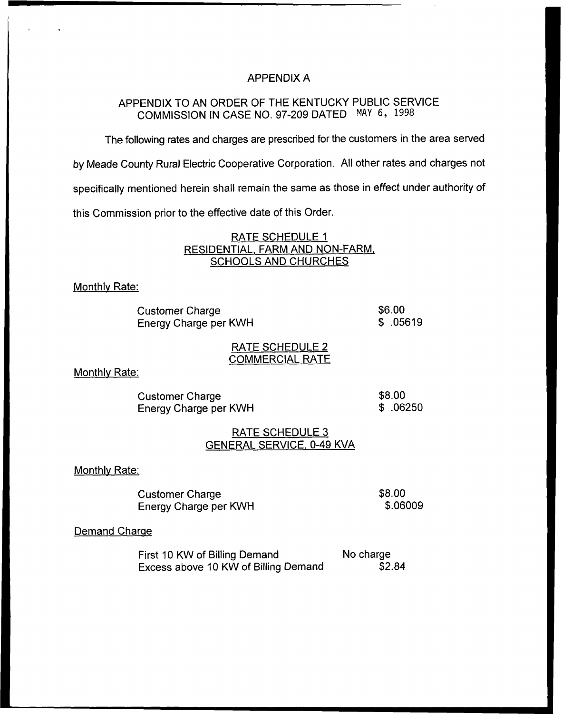# APPENDIX A

# APPENDIX TO AN ORDER OF THE KENTUCKY PUBLIC SERVICE COMMISSION IN CASE NO. 97-209 DATED MAY 6, 1998

The following rates and charges are prescribed for the customers in the area served

by Meade County Rural Electric Cooperative Corporation. All other rates and charges not

specifically mentioned herein shall remain the same as those in effect under authority of

this Commission prior to the effective date of this Order.

## RATE SCHEDULE 1 RESIDENTIAL. FARM AND NON-FARM, SCHOOLS AND CHURCHES

#### Monthly Rate:

| <b>Customer Charge</b> |  |
|------------------------|--|
| Energy Charge per KWH  |  |

\$6.00 \$ .05619

## RATE SCHEDULE 2 COMMERCIAL RATE

Monthly Rate:

Customer Charge Energy Charge per KWH \$8.00 \$ .06250

#### RATE SCHEDULE 3 GENERAL SERVICE. 0-49 KVA

#### Monthly Rate:

Customer Charge Energy Charge per KWH \$8.00 \$.06009

#### Demand Charge

| First 10 KW of Billing Demand        | No charge |
|--------------------------------------|-----------|
| Excess above 10 KW of Billing Demand | \$2.84    |